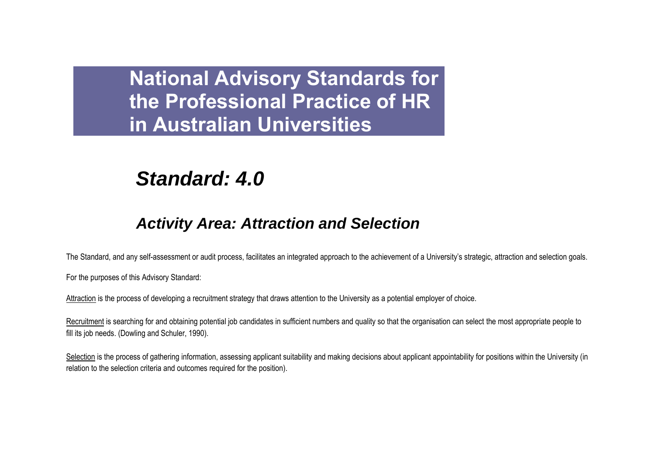# *Standard: 4.0*

## *Activity Area: Attraction and Selection*

The Standard, and any self-assessment or audit process, facilitates an integrated approach to the achievement of a University"s strategic, attraction and selection goals.

For the purposes of this Advisory Standard:

Attraction is the process of developing a recruitment strategy that draws attention to the University as a potential employer of choice.

Recruitment is searching for and obtaining potential job candidates in sufficient numbers and quality so that the organisation can select the most appropriate people to fill its job needs. (Dowling and Schuler, 1990).

Selection is the process of gathering information, assessing applicant suitability and making decisions about applicant appointability for positions within the University (in relation to the selection criteria and outcomes required for the position).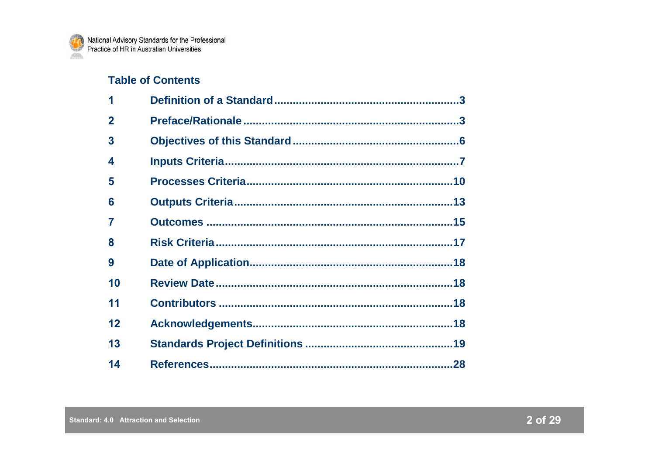## **Table of Contents**

| 1              |  |
|----------------|--|
| $\overline{2}$ |  |
| 3              |  |
| 4              |  |
| 5              |  |
| 6              |  |
| 7              |  |
| 8              |  |
| 9              |  |
| 10             |  |
| 11             |  |
| 12             |  |
| 13             |  |
| 14             |  |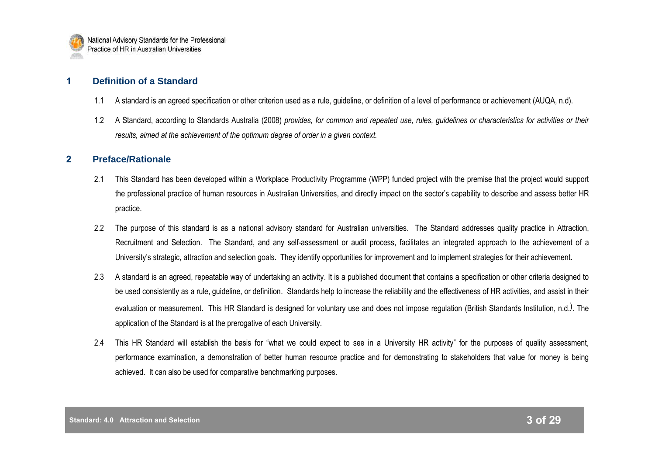## **1 Definition of a Standard**

- 1.1 A standard is an agreed specification or other criterion used as a rule, guideline, or definition of a level of performance or achievement (AUQA, n.d).
- 1.2 A Standard, according to Standards Australia (2008) *provides, for common and repeated use, rules, guidelines or characteristics for activities or their results, aimed at the achievement of the optimum degree of order in a given context.*

## **2 Preface/Rationale**

- 2.1 This Standard has been developed within a Workplace Productivity Programme (WPP) funded project with the premise that the project would support the professional practice of human resources in Australian Universities, and directly impact on the sector"s capability to describe and assess better HR practice.
- 2.2 The purpose of this standard is as a national advisory standard for Australian universities. The Standard addresses quality practice in Attraction, Recruitment and Selection. The Standard, and any self-assessment or audit process, facilitates an integrated approach to the achievement of a University"s strategic, attraction and selection goals. They identify opportunities for improvement and to implement strategies for their achievement.
- 2.3 A standard is an agreed, repeatable way of undertaking an activity. It is a published document that contains a specification or other criteria designed to be used consistently as a rule, guideline, or definition. Standards help to increase the reliability and the effectiveness of HR activities, and assist in their evaluation or measurement. This HR Standard is designed for voluntary use and does not impose regulation (British Standards Institution, n.d.). The application of the Standard is at the prerogative of each University.
- 2.4 This HR Standard will establish the basis for "what we could expect to see in a University HR activity" for the purposes of quality assessment, performance examination, a demonstration of better human resource practice and for demonstrating to stakeholders that value for money is being achieved. It can also be used for comparative benchmarking purposes.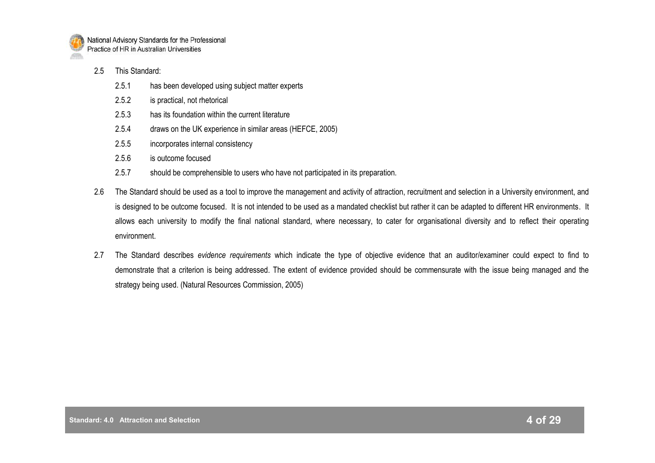

- 2.5 This Standard:
	- 2.5.1 has been developed using subject matter experts
	- 2.5.2 is practical, not rhetorical
	- 2.5.3 has its foundation within the current literature
	- 2.5.4 draws on the UK experience in similar areas (HEFCE, 2005)
	- 2.5.5 incorporates internal consistency
	- 2.5.6 is outcome focused
	- 2.5.7 should be comprehensible to users who have not participated in its preparation.
- 2.6 The Standard should be used as a tool to improve the management and activity of attraction, recruitment and selection in a University environment, and is designed to be outcome focused. It is not intended to be used as a mandated checklist but rather it can be adapted to different HR environments. It allows each university to modify the final national standard, where necessary, to cater for organisational diversity and to reflect their operating environment.
- 2.7 The Standard describes *evidence requirements* which indicate the type of objective evidence that an auditor/examiner could expect to find to demonstrate that a criterion is being addressed. The extent of evidence provided should be commensurate with the issue being managed and the strategy being used. (Natural Resources Commission, 2005)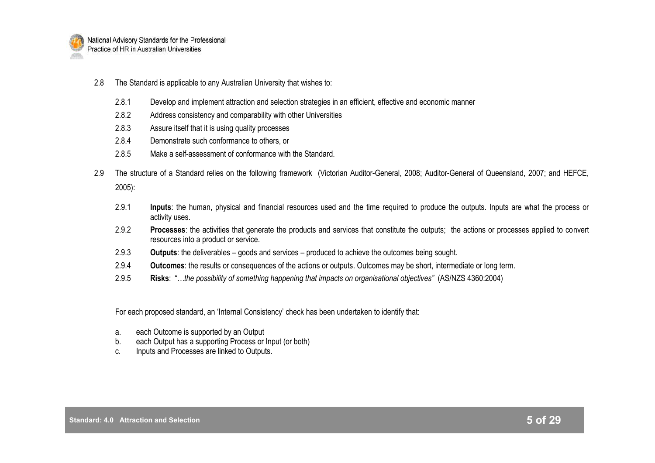

- 2.8 The Standard is applicable to any Australian University that wishes to:
	- 2.8.1 Develop and implement attraction and selection strategies in an efficient, effective and economic manner
	- 2.8.2 Address consistency and comparability with other Universities
	- 2.8.3 Assure itself that it is using quality processes
	- 2.8.4 Demonstrate such conformance to others, or
	- 2.8.5 Make a self-assessment of conformance with the Standard.
- 2.9 The structure of a Standard relies on the following framework (Victorian Auditor-General, 2008; Auditor-General of Queensland, 2007; and HEFCE, 2005):
	- 2.9.1 **Inputs**: the human, physical and financial resources used and the time required to produce the outputs. Inputs are what the process or activity uses.
	- 2.9.2 **Processes**: the activities that generate the products and services that constitute the outputs; the actions or processes applied to convert resources into a product or service.
	- 2.9.3 **Outputs**: the deliverables goods and services produced to achieve the outcomes being sought.
	- 2.9.4 **Outcomes**: the results or consequences of the actions or outputs. Outcomes may be short, intermediate or long term.
	- 2.9.5 **Risks**: "*…the possibility of something happening that impacts on organisational objectives"* (AS/NZS 4360:2004)

For each proposed standard, an "Internal Consistency" check has been undertaken to identify that:

- a. each Outcome is supported by an Output
- b. each Output has a supporting Process or Input (or both)
- c. Inputs and Processes are linked to Outputs.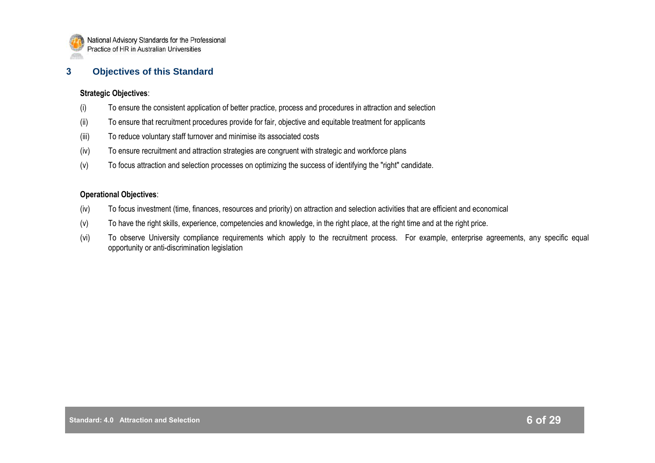

## **3 Objectives of this Standard**

#### **Strategic Objectives**:

- (i) To ensure the consistent application of better practice, process and procedures in attraction and selection
- (ii) To ensure that recruitment procedures provide for fair, objective and equitable treatment for applicants
- (iii) To reduce voluntary staff turnover and minimise its associated costs
- (iv) To ensure recruitment and attraction strategies are congruent with strategic and workforce plans
- (v) To focus attraction and selection processes on optimizing the success of identifying the "right" candidate.

## **Operational Objectives**:

- (iv) To focus investment (time, finances, resources and priority) on attraction and selection activities that are efficient and economical
- (v) To have the right skills, experience, competencies and knowledge, in the right place, at the right time and at the right price.
- (vi) To observe University compliance requirements which apply to the recruitment process. For example, enterprise agreements, any specific equal opportunity or anti-discrimination legislation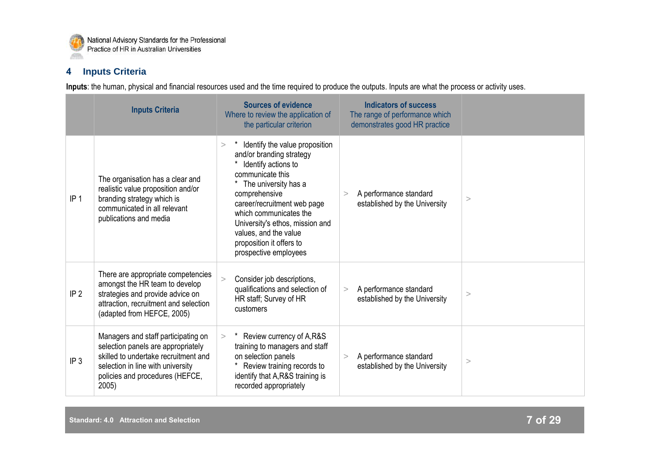

## **4 Inputs Criteria**

|                 | <b>Inputs Criteria</b>                                                                                                                                                                            | <b>Sources of evidence</b><br>Where to review the application of<br>the particular criterion                                                                                                                                                                                                                                       | <b>Indicators of success</b><br>The range of performance which<br>demonstrates good HR practice |          |
|-----------------|---------------------------------------------------------------------------------------------------------------------------------------------------------------------------------------------------|------------------------------------------------------------------------------------------------------------------------------------------------------------------------------------------------------------------------------------------------------------------------------------------------------------------------------------|-------------------------------------------------------------------------------------------------|----------|
| IP <sub>1</sub> | The organisation has a clear and<br>realistic value proposition and/or<br>branding strategy which is<br>communicated in all relevant<br>publications and media                                    | Identify the value proposition<br>$\geq$<br>and/or branding strategy<br>Identify actions to<br>communicate this<br>The university has a<br>comprehensive<br>career/recruitment web page<br>which communicates the<br>University's ethos, mission and<br>values, and the value<br>proposition it offers to<br>prospective employees | A performance standard<br>$\rm{~}$<br>established by the University                             | $\rm{>}$ |
| IP <sub>2</sub> | There are appropriate competencies<br>amongst the HR team to develop<br>strategies and provide advice on<br>attraction, recruitment and selection<br>(adapted from HEFCE, 2005)                   | Consider job descriptions,<br>$\geq$<br>qualifications and selection of<br>HR staff; Survey of HR<br>customers                                                                                                                                                                                                                     | A performance standard<br>$\geq$<br>established by the University                               | >        |
| IP <sub>3</sub> | Managers and staff participating on<br>selection panels are appropriately<br>skilled to undertake recruitment and<br>selection in line with university<br>policies and procedures (HEFCE,<br>2005 | Review currency of A,R&S<br>$\geq$<br>training to managers and staff<br>on selection panels<br>Review training records to<br>identify that A, R&S training is<br>recorded appropriately                                                                                                                                            | A performance standard<br>><br>established by the University                                    | $\,>$    |

**Inputs**: the human, physical and financial resources used and the time required to produce the outputs. Inputs are what the process or activity uses.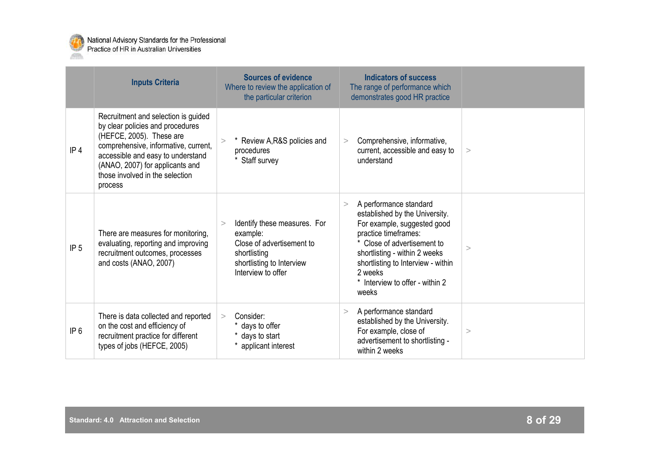

|                 | <b>Inputs Criteria</b>                                                                                                                                                                                                                                            | <b>Sources of evidence</b><br>Where to review the application of<br>the particular criterion                                                       | <b>Indicators of success</b><br>The range of performance which<br>demonstrates good HR practice                                                                                                                                                                                        |   |
|-----------------|-------------------------------------------------------------------------------------------------------------------------------------------------------------------------------------------------------------------------------------------------------------------|----------------------------------------------------------------------------------------------------------------------------------------------------|----------------------------------------------------------------------------------------------------------------------------------------------------------------------------------------------------------------------------------------------------------------------------------------|---|
| IP <sub>4</sub> | Recruitment and selection is guided<br>by clear policies and procedures<br>(HEFCE, 2005). These are<br>comprehensive, informative, current,<br>accessible and easy to understand<br>(ANAO, 2007) for applicants and<br>those involved in the selection<br>process | * Review A, R&S policies and<br>procedures<br>Staff survey                                                                                         | Comprehensive, informative,<br>><br>current, accessible and easy to<br>understand                                                                                                                                                                                                      | > |
| IP <sub>5</sub> | There are measures for monitoring,<br>evaluating, reporting and improving<br>recruitment outcomes, processes<br>and costs (ANAO, 2007)                                                                                                                            | Identify these measures. For<br>$\geq$<br>example:<br>Close of advertisement to<br>shortlisting<br>shortlisting to Interview<br>Interview to offer | A performance standard<br>$\geq$<br>established by the University.<br>For example, suggested good<br>practice timeframes:<br>* Close of advertisement to<br>shortlisting - within 2 weeks<br>shortlisting to Interview - within<br>2 weeks<br>* Interview to offer - within 2<br>weeks | > |
| IP <sub>6</sub> | There is data collected and reported<br>on the cost and efficiency of<br>recruitment practice for different<br>types of jobs (HEFCE, 2005)                                                                                                                        | Consider:<br>$\geq$<br>* days to offer<br>* days to start<br>* applicant interest                                                                  | A performance standard<br>><br>established by the University.<br>For example, close of<br>advertisement to shortlisting -<br>within 2 weeks                                                                                                                                            | > |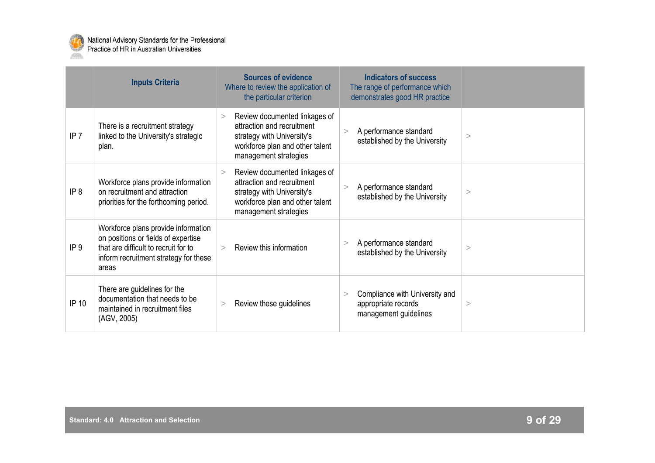

|                 | <b>Inputs Criteria</b>                                                                                                                                               | <b>Sources of evidence</b><br>Where to review the application of<br>the particular criterion                                                                    | <b>Indicators of success</b><br>The range of performance which<br>demonstrates good HR practice |       |
|-----------------|----------------------------------------------------------------------------------------------------------------------------------------------------------------------|-----------------------------------------------------------------------------------------------------------------------------------------------------------------|-------------------------------------------------------------------------------------------------|-------|
| IP <sub>7</sub> | There is a recruitment strategy<br>linked to the University's strategic<br>plan.                                                                                     | Review documented linkages of<br>><br>attraction and recruitment<br>strategy with University's<br>workforce plan and other talent<br>management strategies      | A performance standard<br>$\geq$<br>established by the University                               | >     |
| IP 8            | Workforce plans provide information<br>on recruitment and attraction<br>priorities for the forthcoming period.                                                       | Review documented linkages of<br>$\geq$<br>attraction and recruitment<br>strategy with University's<br>workforce plan and other talent<br>management strategies | A performance standard<br>><br>established by the University                                    | >     |
| IP <sub>9</sub> | Workforce plans provide information<br>on positions or fields of expertise<br>that are difficult to recruit for to<br>inform recruitment strategy for these<br>areas | Review this information<br>$\geq$                                                                                                                               | A performance standard<br>$\rm{~}$<br>established by the University                             | $\,>$ |
| IP 10           | There are guidelines for the<br>documentation that needs to be<br>maintained in recruitment files<br>(AGV, 2005)                                                     | Review these guidelines<br>>                                                                                                                                    | Compliance with University and<br>><br>appropriate records<br>management guidelines             | >     |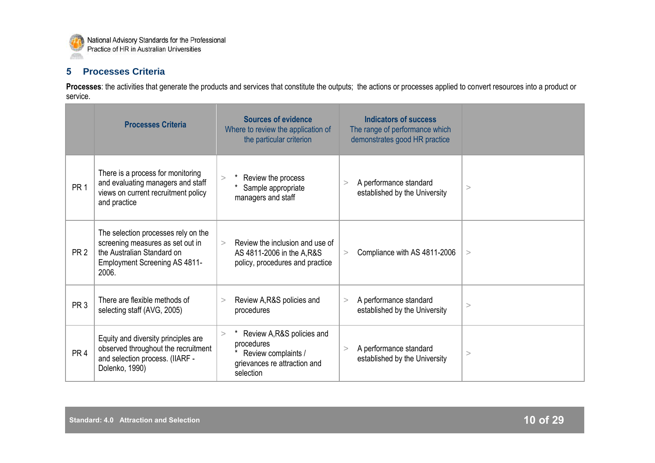

## **5 Processes Criteria**

Processes: the activities that generate the products and services that constitute the outputs; the actions or processes applied to convert resources into a product or service.

|                 | <b>Processes Criteria</b>                                                                                                                              | <b>Sources of evidence</b><br>Where to review the application of<br>the particular criterion                      | <b>Indicators of success</b><br>The range of performance which<br>demonstrates good HR practice |          |
|-----------------|--------------------------------------------------------------------------------------------------------------------------------------------------------|-------------------------------------------------------------------------------------------------------------------|-------------------------------------------------------------------------------------------------|----------|
| PR <sub>1</sub> | There is a process for monitoring<br>and evaluating managers and staff<br>views on current recruitment policy<br>and practice                          | Review the process<br>$\geq$<br>Sample appropriate<br>managers and staff                                          | A performance standard<br>$\rm{~}$<br>established by the University                             | >        |
| PR <sub>2</sub> | The selection processes rely on the<br>screening measures as set out in<br>the Australian Standard on<br><b>Employment Screening AS 4811-</b><br>2006. | Review the inclusion and use of<br>$\geq$<br>AS 4811-2006 in the A, R&S<br>policy, procedures and practice        | Compliance with AS 4811-2006<br>$\geq$                                                          | >        |
| PR <sub>3</sub> | There are flexible methods of<br>selecting staff (AVG, 2005)                                                                                           | Review A, R&S policies and<br>$\geq$<br>procedures                                                                | A performance standard<br>$\geq$<br>established by the University                               | >        |
| PR <sub>4</sub> | Equity and diversity principles are<br>observed throughout the recruitment<br>and selection process. (IIARF -<br>Dolenko, 1990)                        | Review A, R&S policies and<br>><br>procedures<br>Review complaints /<br>grievances re attraction and<br>selection | A performance standard<br>$\geq$<br>established by the University                               | $\rm{>}$ |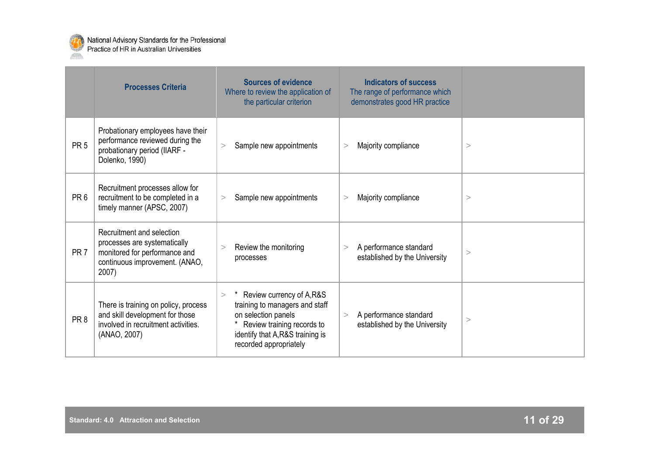

|                 | <b>Processes Criteria</b>                                                                                                             | <b>Sources of evidence</b><br>Where to review the application of<br>the particular criterion                                                                                            | <b>Indicators of success</b><br>The range of performance which<br>demonstrates good HR practice |       |
|-----------------|---------------------------------------------------------------------------------------------------------------------------------------|-----------------------------------------------------------------------------------------------------------------------------------------------------------------------------------------|-------------------------------------------------------------------------------------------------|-------|
| PR <sub>5</sub> | Probationary employees have their<br>performance reviewed during the<br>probationary period (IIARF -<br>Dolenko, 1990)                | Sample new appointments<br>$\geq$                                                                                                                                                       | Majority compliance<br>>                                                                        | >     |
| PR <sub>6</sub> | Recruitment processes allow for<br>recruitment to be completed in a<br>timely manner (APSC, 2007)                                     | Sample new appointments<br>>                                                                                                                                                            | Majority compliance<br>>                                                                        | >     |
| PR <sub>7</sub> | Recruitment and selection<br>processes are systematically<br>monitored for performance and<br>continuous improvement. (ANAO,<br>2007) | Review the monitoring<br>><br>processes                                                                                                                                                 | A performance standard<br>><br>established by the University                                    | $\,>$ |
| PR <sub>8</sub> | There is training on policy, process<br>and skill development for those<br>involved in recruitment activities.<br>(ANAO, 2007)        | Review currency of A,R&S<br>$\geq$<br>training to managers and staff<br>on selection panels<br>Review training records to<br>identify that A, R&S training is<br>recorded appropriately | A performance standard<br>><br>established by the University                                    | >     |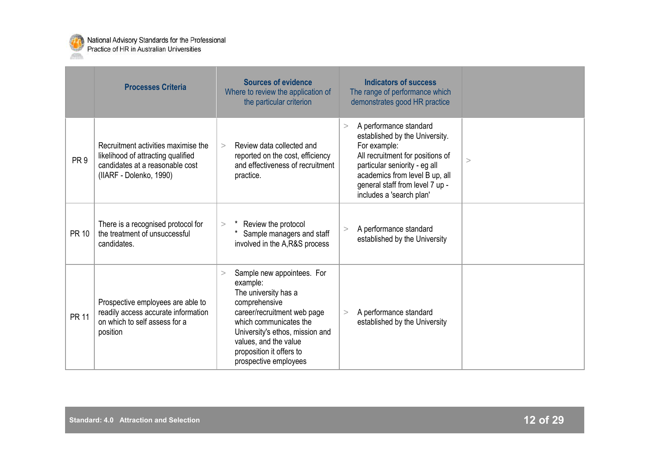

|                 | <b>Processes Criteria</b>                                                                                                               | <b>Sources of evidence</b><br>Where to review the application of<br>the particular criterion                                                                                                                                                                        | <b>Indicators of success</b><br>The range of performance which<br>demonstrates good HR practice                                                                                                                                                     |   |
|-----------------|-----------------------------------------------------------------------------------------------------------------------------------------|---------------------------------------------------------------------------------------------------------------------------------------------------------------------------------------------------------------------------------------------------------------------|-----------------------------------------------------------------------------------------------------------------------------------------------------------------------------------------------------------------------------------------------------|---|
| PR <sub>9</sub> | Recruitment activities maximise the<br>likelihood of attracting qualified<br>candidates at a reasonable cost<br>(IIARF - Dolenko, 1990) | Review data collected and<br>$\geq$<br>reported on the cost, efficiency<br>and effectiveness of recruitment<br>practice.                                                                                                                                            | A performance standard<br>><br>established by the University.<br>For example:<br>All recruitment for positions of<br>particular seniority - eg all<br>academics from level B up, all<br>general staff from level 7 up -<br>includes a 'search plan' | > |
| <b>PR 10</b>    | There is a recognised protocol for<br>the treatment of unsuccessful<br>candidates.                                                      | Review the protocol<br>$\geq$<br>Sample managers and staff<br>involved in the A,R&S process                                                                                                                                                                         | A performance standard<br>$\geq$<br>established by the University                                                                                                                                                                                   |   |
| <b>PR 11</b>    | Prospective employees are able to<br>readily access accurate information<br>on which to self assess for a<br>position                   | Sample new appointees. For<br>$\geq$<br>example:<br>The university has a<br>comprehensive<br>career/recruitment web page<br>which communicates the<br>University's ethos, mission and<br>values, and the value<br>proposition it offers to<br>prospective employees | A performance standard<br>$\geq$<br>established by the University                                                                                                                                                                                   |   |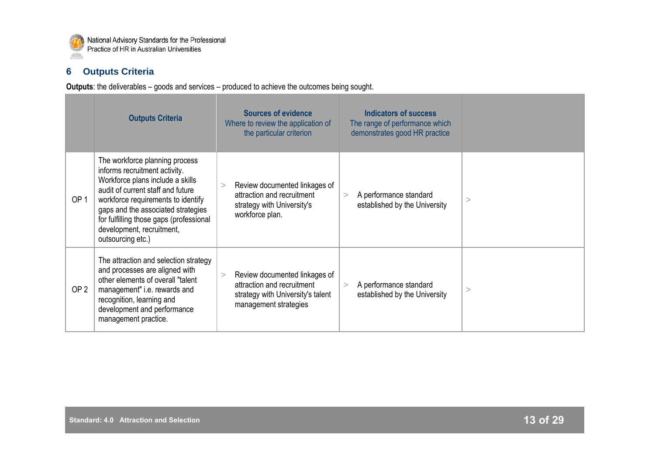

## **6 Outputs Criteria**

**Outputs**: the deliverables – goods and services – produced to achieve the outcomes being sought.

|                 | <b>Outputs Criteria</b>                                                                                                                                                                                                                                                                                           | <b>Sources of evidence</b><br><b>Indicators of success</b><br>The range of performance which<br>Where to review the application of<br>demonstrates good HR practice<br>the particular criterion     |          |
|-----------------|-------------------------------------------------------------------------------------------------------------------------------------------------------------------------------------------------------------------------------------------------------------------------------------------------------------------|-----------------------------------------------------------------------------------------------------------------------------------------------------------------------------------------------------|----------|
| OP <sub>1</sub> | The workforce planning process<br>informs recruitment activity.<br>Workforce plans include a skills<br>audit of current staff and future<br>workforce requirements to identify<br>gaps and the associated strategies<br>for fulfilling those gaps (professional<br>development, recruitment,<br>outsourcing etc.) | Review documented linkages of<br>$\rm{>}$<br>attraction and recruitment<br>A performance standard<br>><br>established by the University<br>strategy with University's<br>workforce plan.            | $\,>$    |
| OP <sub>2</sub> | The attraction and selection strategy<br>and processes are aligned with<br>other elements of overall "talent<br>management" i.e. rewards and<br>recognition, learning and<br>development and performance<br>management practice.                                                                                  | Review documented linkages of<br>><br>attraction and recruitment<br>A performance standard<br>$\geq$<br>established by the University<br>strategy with University's talent<br>management strategies | $\rm{>}$ |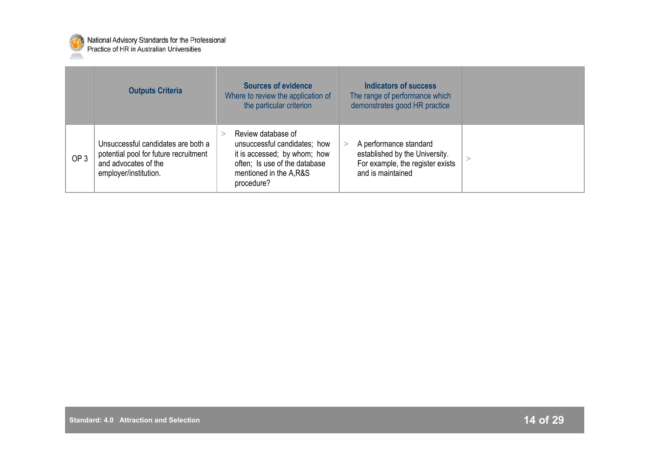

|                 | <b>Outputs Criteria</b>                                                                                                      | <b>Sources of evidence</b><br>Where to review the application of<br>the particular criterion                                                                | <b>Indicators of success</b><br>The range of performance which<br>demonstrates good HR practice                   |  |
|-----------------|------------------------------------------------------------------------------------------------------------------------------|-------------------------------------------------------------------------------------------------------------------------------------------------------------|-------------------------------------------------------------------------------------------------------------------|--|
| OP <sub>3</sub> | Unsuccessful candidates are both a<br>potential pool for future recruitment<br>and advocates of the<br>employer/institution. | Review database of<br>unsuccessful candidates; how<br>it is accessed; by whom; how<br>often; Is use of the database<br>mentioned in the A,R&S<br>procedure? | A performance standard<br>established by the University.<br>For example, the register exists<br>and is maintained |  |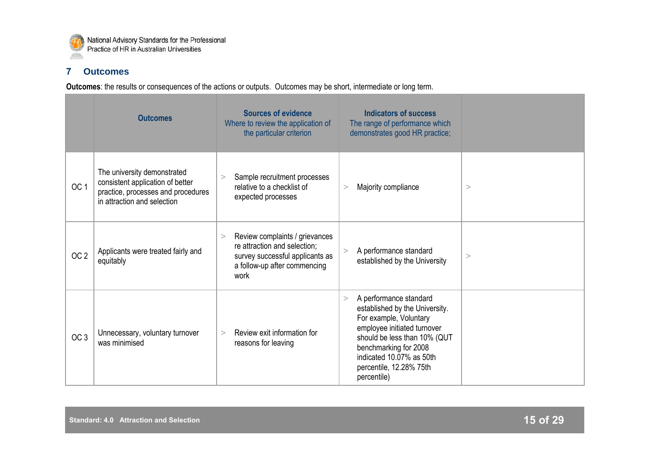

## **7 Outcomes**

**Outcomes**: the results or consequences of the actions or outputs. Outcomes may be short, intermediate or long term.

|                 | <b>Outcomes</b>                                                                                                                      | <b>Sources of evidence</b><br>Where to review the application of<br>the particular criterion                                                   | <b>Indicators of success</b><br>The range of performance which<br>demonstrates good HR practice;                                                                                                                                                      |          |
|-----------------|--------------------------------------------------------------------------------------------------------------------------------------|------------------------------------------------------------------------------------------------------------------------------------------------|-------------------------------------------------------------------------------------------------------------------------------------------------------------------------------------------------------------------------------------------------------|----------|
| OC <sub>1</sub> | The university demonstrated<br>consistent application of better<br>practice, processes and procedures<br>in attraction and selection | Sample recruitment processes<br>relative to a checklist of<br>expected processes                                                               | Majority compliance<br>$\geq$                                                                                                                                                                                                                         | $\rm{>}$ |
| OC <sub>2</sub> | Applicants were treated fairly and<br>equitably                                                                                      | Review complaints / grievances<br>><br>re attraction and selection;<br>survey successful applicants as<br>a follow-up after commencing<br>work | A performance standard<br>established by the University                                                                                                                                                                                               | >        |
| OC <sub>3</sub> | Unnecessary, voluntary turnover<br>was minimised                                                                                     | Review exit information for<br>$\mathbf{r}$<br>reasons for leaving                                                                             | A performance standard<br>><br>established by the University.<br>For example, Voluntary<br>employee initiated turnover<br>should be less than 10% (QUT<br>benchmarking for 2008<br>indicated 10.07% as 50th<br>percentile, 12.28% 75th<br>percentile) |          |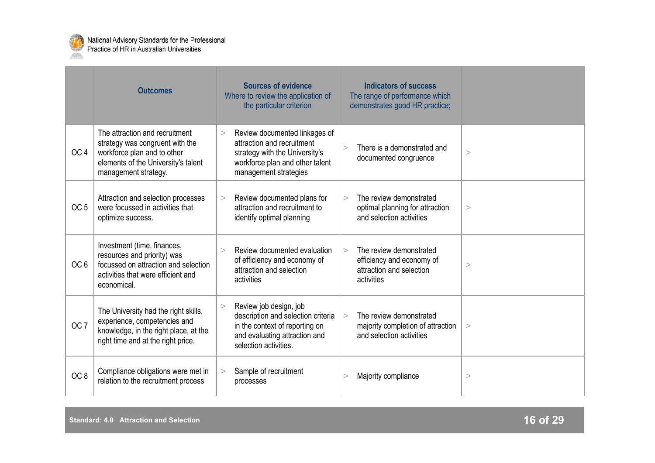

|                 | <b>Outcomes</b>                                                                                                                                                 | <b>Sources of evidence</b><br>Where to review the application of<br>the particular criterion                                                                        | <b>Indicators of success</b><br>The range of performance which<br>demonstrates good HR practice;         |       |
|-----------------|-----------------------------------------------------------------------------------------------------------------------------------------------------------------|---------------------------------------------------------------------------------------------------------------------------------------------------------------------|----------------------------------------------------------------------------------------------------------|-------|
| OC <sub>4</sub> | The attraction and recruitment<br>strategy was congruent with the<br>workforce plan and to other<br>elements of the University's talent<br>management strategy. | Review documented linkages of<br>$\geq$<br>attraction and recruitment<br>strategy with the University's<br>workforce plan and other talent<br>management strategies | There is a demonstrated and<br>$\geq$<br>documented congruence                                           | >     |
| OC <sub>5</sub> | Attraction and selection processes<br>were focussed in activities that<br>optimize success.                                                                     | Review documented plans for<br>><br>attraction and recruitment to<br>identify optimal planning                                                                      | The review demonstrated<br>$\geq$<br>optimal planning for attraction<br>and selection activities         | $\,>$ |
| OC <sub>6</sub> | Investment (time, finances,<br>resources and priority) was<br>focussed on attraction and selection<br>activities that were efficient and<br>economical.         | Review documented evaluation<br>$\mathbf{I}$<br>of efficiency and economy of<br>attraction and selection<br>activities                                              | The review demonstrated<br>$\geq$<br>efficiency and economy of<br>attraction and selection<br>activities | >     |
| OC <sub>7</sub> | The University had the right skills,<br>experience, competencies and<br>knowledge, in the right place, at the<br>right time and at the right price.             | Review job design, job<br>$\geq$<br>description and selection criteria<br>in the context of reporting on<br>and evaluating attraction and<br>selection activities.  | The review demonstrated<br>$\geq$<br>majority completion of attraction<br>and selection activities       | >     |
| OC <sub>8</sub> | Compliance obligations were met in<br>relation to the recruitment process                                                                                       | Sample of recruitment<br>$\label{eq:1} \quad \quad \  \  \geq$<br>processes                                                                                         | Majority compliance<br>$\rm{~}$                                                                          | >     |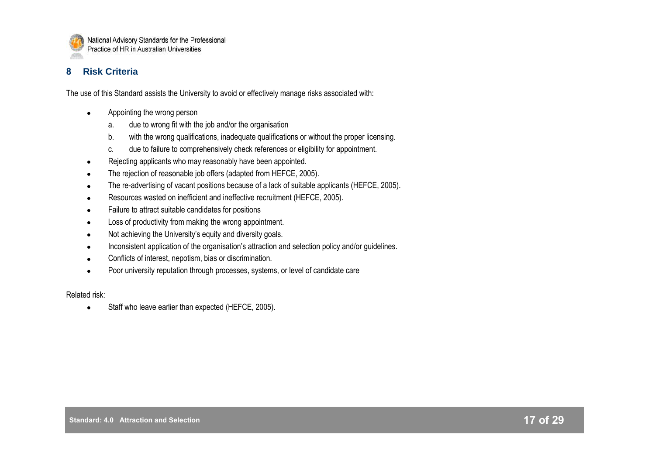

## **8 Risk Criteria**

The use of this Standard assists the University to avoid or effectively manage risks associated with:

- Appointing the wrong person  $\bullet$ 
	- a. due to wrong fit with the job and/or the organisation
	- b. with the wrong qualifications, inadequate qualifications or without the proper licensing.
	- c. due to failure to comprehensively check references or eligibility for appointment.
- Rejecting applicants who may reasonably have been appointed.  $\bullet$
- The rejection of reasonable job offers (adapted from HEFCE, 2005).  $\bullet$
- The re-advertising of vacant positions because of a lack of suitable applicants (HEFCE, 2005).  $\bullet$
- Resources wasted on inefficient and ineffective recruitment (HEFCE, 2005).  $\bullet$
- Failure to attract suitable candidates for positions  $\bullet$
- Loss of productivity from making the wrong appointment.  $\bullet$
- Not achieving the University"s equity and diversity goals.  $\bullet$
- Inconsistent application of the organisation"s attraction and selection policy and/or guidelines.  $\bullet$
- Conflicts of interest, nepotism, bias or discrimination.  $\bullet$
- Poor university reputation through processes, systems, or level of candidate care  $\bullet$

Related risk:

Staff who leave earlier than expected (HEFCE, 2005). $\bullet$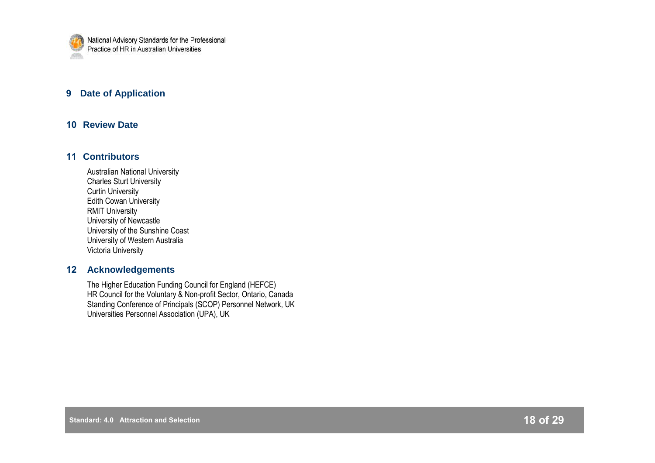

## **9 Date of Application**

## **10 Review Date**

## **11 Contributors**

Australian National University Charles Sturt University Curtin University Edith Cowan University RMIT University University of Newcastle University of the Sunshine Coast University of Western Australia Victoria University

## **12 Acknowledgements**

The Higher Education Funding Council for England (HEFCE) HR Council for the Voluntary & Non-profit Sector, Ontario, Canada Standing Conference of Principals (SCOP) Personnel Network, UK Universities Personnel Association (UPA), UK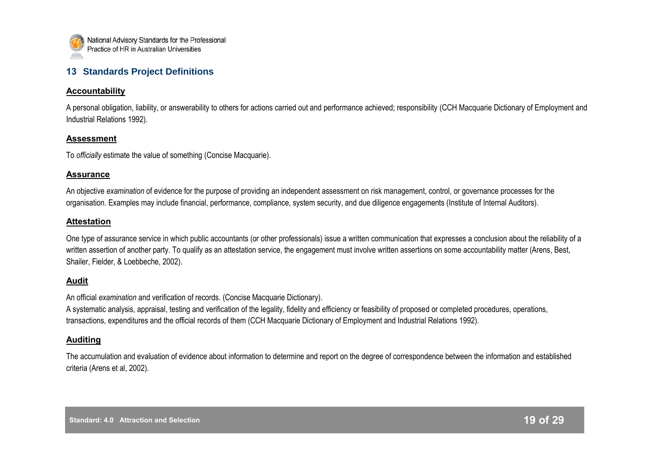

## **13 Standards Project Definitions**

#### **Accountability**

A personal obligation, liability, or answerability to others for actions carried out and performance achieved; responsibility (CCH Macquarie Dictionary of Employment and Industrial Relations 1992).

#### **Assessment**

To *officially* estimate the value of something (Concise Macquarie).

#### **Assurance**

An objective *examination* of evidence for the purpose of providing an independent assessment on risk management, control, or governance processes for the organisation. Examples may include financial, performance, compliance, system security, and due diligence engagements (Institute of Internal Auditors).

## **Attestation**

One type of assurance service in which public accountants (or other professionals) issue a written communication that expresses a conclusion about the reliability of a written assertion of another party. To qualify as an attestation service, the engagement must involve written assertions on some accountability matter (Arens, Best, Shailer, Fielder, & Loebbeche, 2002).

## **Audit**

An official *examination* and verification of records. (Concise Macquarie Dictionary).

A systematic analysis, appraisal, testing and verification of the legality, fidelity and efficiency or feasibility of proposed or completed procedures, operations, transactions, expenditures and the official records of them (CCH Macquarie Dictionary of Employment and Industrial Relations 1992).

## **Auditing**

The accumulation and evaluation of evidence about information to determine and report on the degree of correspondence between the information and established criteria (Arens et al, 2002).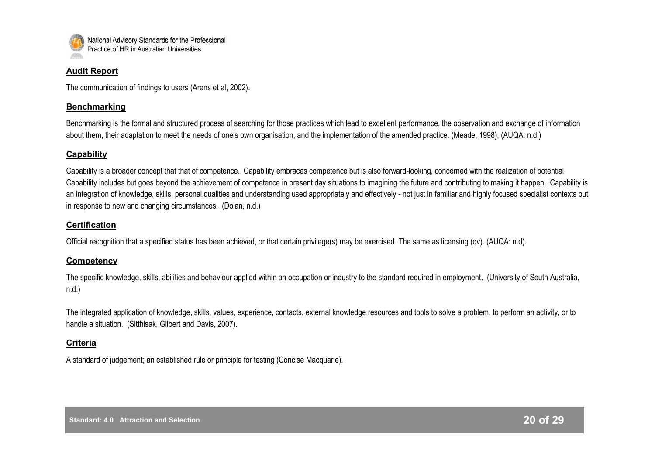

#### **Audit Report**

The communication of findings to users (Arens et al, 2002).

## **Benchmarking**

Benchmarking is the formal and structured process of searching for those practices which lead to excellent performance, the observation and exchange of information about them, their adaptation to meet the needs of one"s own organisation, and the implementation of the amended practice. (Meade, 1998), (AUQA: n.d.)

#### **Capability**

Capability is a broader concept that that of competence. Capability embraces competence but is also forward-looking, concerned with the realization of potential. Capability includes but goes beyond the achievement of competence in present day situations to imagining the future and contributing to making it happen. Capability is an integration of knowledge, skills, personal qualities and understanding used appropriately and effectively - not just in familiar and highly focused specialist contexts but in response to new and changing circumstances. (Dolan, n.d.)

## **Certification**

Official recognition that a specified status has been achieved, or that certain privilege(s) may be exercised. The same as licensing (qv). (AUQA: n.d).

## **Competency**

The specific knowledge, skills, abilities and behaviour applied within an occupation or industry to the standard required in employment. (University of South Australia, n.d.)

The integrated application of knowledge, skills, values, experience, contacts, external knowledge resources and tools to solve a problem, to perform an activity, or to handle a situation. (Sitthisak, Gilbert and Davis, 2007).

## **Criteria**

A standard of judgement; an established rule or principle for testing (Concise Macquarie).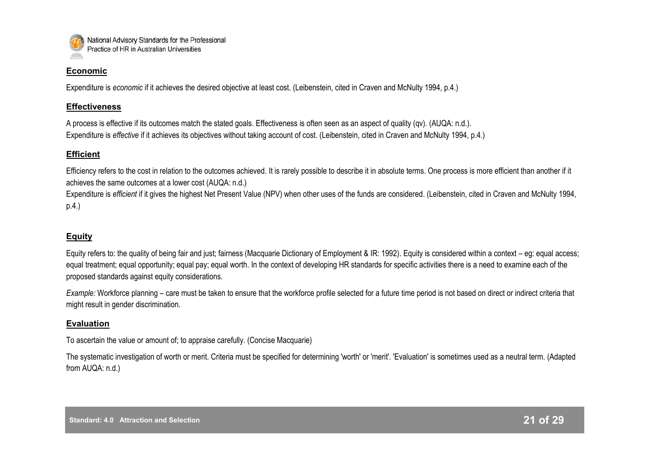

#### **Economic**

Expenditure is *economic* if it achieves the desired objective at least cost. (Leibenstein, cited in Craven and McNulty 1994, p.4.)

## **Effectiveness**

A process is effective if its outcomes match the stated goals. Effectiveness is often seen as an aspect of quality (qv). (AUQA: n.d.). Expenditure is *effective* if it achieves its objectives without taking account of cost. (Leibenstein, cited in Craven and McNulty 1994, p.4.)

## **Efficient**

Efficiency refers to the cost in relation to the outcomes achieved. It is rarely possible to describe it in absolute terms. One process is more efficient than another if it achieves the same outcomes at a lower cost (AUQA: n.d.)

Expenditure is *efficient* if it gives the highest Net Present Value (NPV) when other uses of the funds are considered. (Leibenstein, cited in Craven and McNulty 1994, p.4.)

## **Equity**

Equity refers to: the quality of being fair and just; fairness (Macquarie Dictionary of Employment & IR: 1992). Equity is considered within a context – eg: equal access; equal treatment; equal opportunity; equal pay; equal worth. In the context of developing HR standards for specific activities there is a need to examine each of the proposed standards against equity considerations.

*Example:* Workforce planning – care must be taken to ensure that the workforce profile selected for a future time period is not based on direct or indirect criteria that might result in gender discrimination.

## **Evaluation**

To ascertain the value or amount of; to appraise carefully. (Concise Macquarie)

The systematic investigation of worth or merit. Criteria must be specified for determining 'worth' or 'merit'. 'Evaluation' is sometimes used as a neutral term. (Adapted from AUQA: n.d.)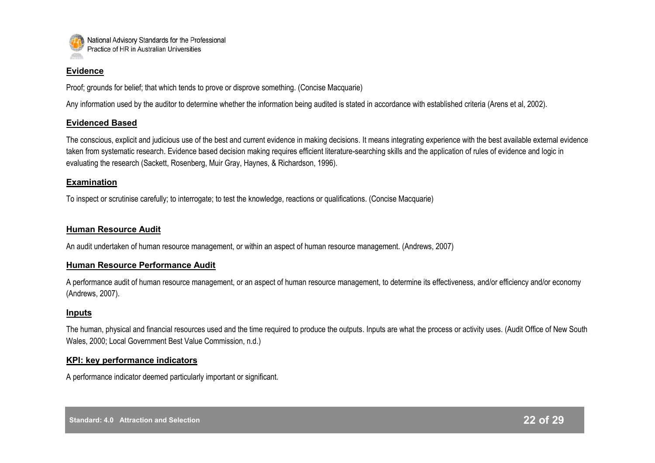

#### **Evidence**

Proof; grounds for belief; that which tends to prove or disprove something. (Concise Macquarie)

Any information used by the auditor to determine whether the information being audited is stated in accordance with established criteria (Arens et al, 2002).

## **Evidenced Based**

The conscious, explicit and judicious use of the best and current evidence in making decisions. It means integrating experience with the best available external evidence taken from systematic research. Evidence based decision making requires efficient literature-searching skills and the application of rules of evidence and logic in evaluating the research (Sackett, Rosenberg, Muir Gray, Haynes, & Richardson, 1996).

## **Examination**

To inspect or scrutinise carefully; to interrogate; to test the knowledge, reactions or qualifications. (Concise Macquarie)

## **Human Resource Audit**

An audit undertaken of human resource management, or within an aspect of human resource management. (Andrews, 2007)

## **Human Resource Performance Audit**

A performance audit of human resource management, or an aspect of human resource management, to determine its effectiveness, and/or efficiency and/or economy (Andrews, 2007).

## **Inputs**

The human, physical and financial resources used and the time required to produce the outputs. Inputs are what the process or activity uses. (Audit Office of New South Wales, 2000; Local Government Best Value Commission, n.d.)

## **KPI: key performance indicators**

A performance indicator deemed particularly important or significant.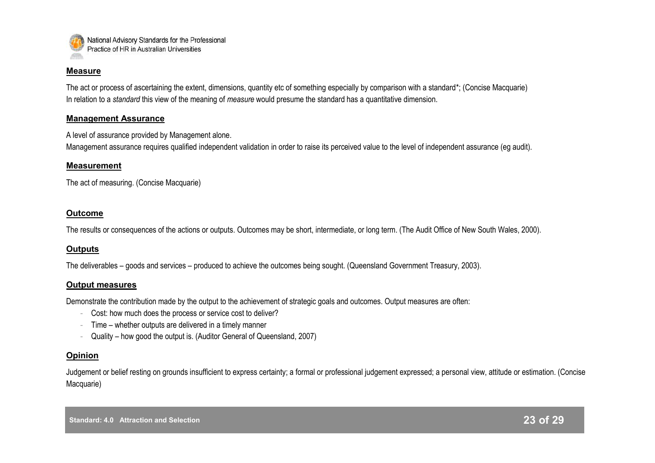

#### **Measure**

The act or process of ascertaining the extent, dimensions, quantity etc of something especially by comparison with a standard\*; (Concise Macquarie) In relation to a *standard* this view of the meaning of *measure* would presume the standard has a quantitative dimension.

#### **Management Assurance**

A level of assurance provided by Management alone.

Management assurance requires qualified independent validation in order to raise its perceived value to the level of independent assurance (eg audit).

#### **Measurement**

The act of measuring. (Concise Macquarie)

#### **Outcome**

The results or consequences of the actions or outputs. Outcomes may be short, intermediate, or long term. (The Audit Office of New South Wales, 2000).

## **Outputs**

The deliverables – goods and services – produced to achieve the outcomes being sought. (Queensland Government Treasury, 2003).

#### **Output measures**

Demonstrate the contribution made by the output to the achievement of strategic goals and outcomes. Output measures are often:

- Cost: how much does the process or service cost to deliver?
- Time whether outputs are delivered in a timely manner
- Quality how good the output is. (Auditor General of Queensland, 2007)

## **Opinion**

Judgement or belief resting on grounds insufficient to express certainty; a formal or professional judgement expressed; a personal view, attitude or estimation. (Concise Macquarie)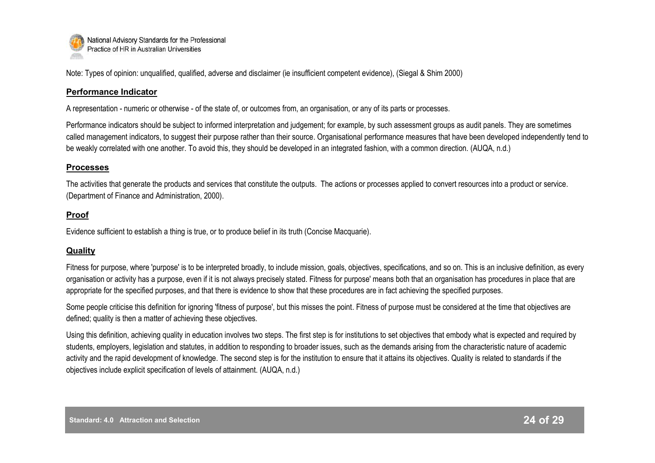

Note: Types of opinion: unqualified, qualified, adverse and disclaimer (ie insufficient competent evidence), (Siegal & Shim 2000)

## **Performance Indicator**

A representation - numeric or otherwise - of the state of, or outcomes from, an organisation, or any of its parts or processes.

Performance indicators should be subject to informed interpretation and judgement; for example, by such assessment groups as audit panels. They are sometimes called management indicators, to suggest their purpose rather than their source. Organisational performance measures that have been developed independently tend to be weakly correlated with one another. To avoid this, they should be developed in an integrated fashion, with a common direction. (AUQA, n.d.)

## **Processes**

The activities that generate the products and services that constitute the outputs. The actions or processes applied to convert resources into a product or service. (Department of Finance and Administration, 2000).

## **Proof**

Evidence sufficient to establish a thing is true, or to produce belief in its truth (Concise Macquarie).

## **Quality**

Fitness for purpose, where 'purpose' is to be interpreted broadly, to include mission, goals, objectives, specifications, and so on. This is an inclusive definition, as every organisation or activity has a purpose, even if it is not always precisely stated. Fitness for purpose' means both that an organisation has procedures in place that are appropriate for the specified purposes, and that there is evidence to show that these procedures are in fact achieving the specified purposes.

Some people criticise this definition for ignoring 'fitness of purpose', but this misses the point. Fitness of purpose must be considered at the time that objectives are defined; quality is then a matter of achieving these objectives.

Using this definition, achieving quality in education involves two steps. The first step is for institutions to set objectives that embody what is expected and required by students, employers, legislation and statutes, in addition to responding to broader issues, such as the demands arising from the characteristic nature of academic activity and the rapid development of knowledge. The second step is for the institution to ensure that it attains its objectives. Quality is related to standards if the objectives include explicit specification of levels of attainment. (AUQA, n.d.)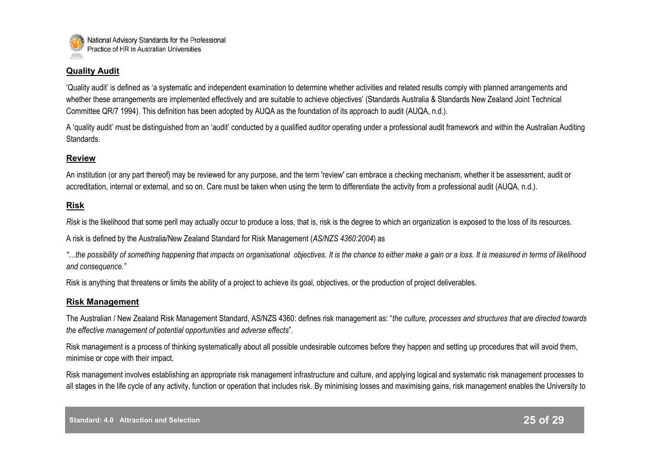

## **Quality Audit**

"Quality audit" is defined as "a systematic and independent examination to determine whether activities and related results comply with planned arrangements and whether these arrangements are implemented effectively and are suitable to achieve objectives' (Standards Australia & Standards New Zealand Joint Technical Committee QR/7 1994). This definition has been adopted by AUQA as the foundation of its approach to audit (AUQA, n.d.).

A "quality audit" must be distinguished from an "audit" conducted by a qualified auditor operating under a professional audit framework and within the Australian Auditing Standards.

## **Review**

An institution (or any part thereof) may be reviewed for any purpose, and the term 'review' can embrace a checking mechanism, whether it be assessment, audit or accreditation, internal or external, and so on. Care must be taken when using the term to differentiate the activity from a professional audit (AUQA, n.d.).

#### **Risk**

*Risk* is the likelihood that some peril may actually occur to produce a loss, that is, risk is the degree to which an organization is exposed to the loss of its resources.

A risk is defined by the Australia/New Zealand Standard for Risk Management (*AS/NZS 4360:2004*) as

*"…the possibility of something happening that impacts on organisational objectives. It is the chance to either make a gain or a loss. It is measured in terms of likelihood and consequence."*

Risk is anything that threatens or limits the ability of a project to achieve its goal, objectives, or the production of project deliverables.

#### **Risk Management**

The Australian / New Zealand Risk Management Standard, AS/NZS 4360: defines risk management as: "*the culture, processes and structures that are directed towards the effective management of potential opportunities and adverse effects*".

Risk management is a process of thinking systematically about all possible undesirable outcomes before they happen and setting up procedures that will avoid them, minimise or cope with their impact.

Risk management involves establishing an appropriate risk management infrastructure and culture, and applying logical and systematic risk management processes to all stages in the life cycle of any activity, function or operation that includes risk. By minimising losses and maximising gains, risk management enables the University to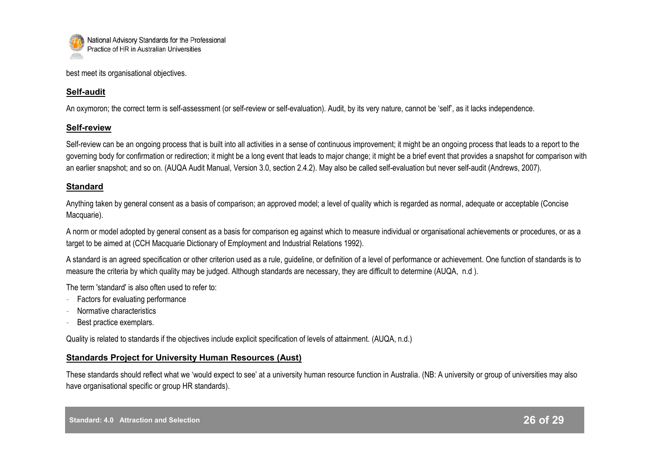

best meet its organisational objectives.

## **Self-audit**

An oxymoron; the correct term is self-assessment (or self-review or self-evaluation). Audit, by its very nature, cannot be 'self', as it lacks independence.

## **Self-review**

Self-review can be an ongoing process that is built into all activities in a sense of continuous improvement; it might be an ongoing process that leads to a report to the governing body for confirmation or redirection; it might be a long event that leads to major change; it might be a brief event that provides a snapshot for comparison with an earlier snapshot; and so on. (AUQA Audit Manual, Version 3.0, section 2.4.2). May also be called self-evaluation but never self-audit (Andrews, 2007).

## **Standard**

Anything taken by general consent as a basis of comparison; an approved model; a level of quality which is regarded as normal, adequate or acceptable (Concise Macquarie).

A norm or model adopted by general consent as a basis for comparison eg against which to measure individual or organisational achievements or procedures, or as a target to be aimed at (CCH Macquarie Dictionary of Employment and Industrial Relations 1992).

A standard is an agreed specification or other criterion used as a rule, guideline, or definition of a level of performance or achievement. One function of standards is to measure the criteria by which quality may be judged. Although standards are necessary, they are difficult to determine (AUQA, n.d ).

The term 'standard' is also often used to refer to:

- Factors for evaluating performance
- Normative characteristics
- Best practice exemplars.

Quality is related to standards if the objectives include explicit specification of levels of attainment. (AUQA, n.d.)

## **Standards Project for University Human Resources (Aust)**

These standards should reflect what we "would expect to see" at a university human resource function in Australia. (NB: A university or group of universities may also have organisational specific or group HR standards).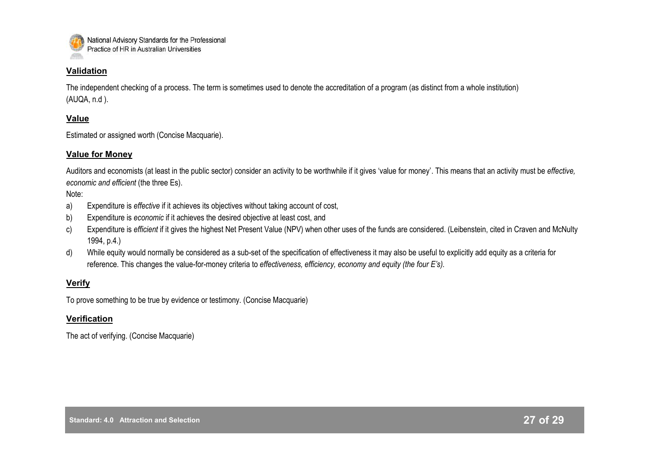

## **Validation**

The independent checking of a process. The term is sometimes used to denote the accreditation of a program (as distinct from a whole institution) (AUQA, n.d ).

## **Value**

Estimated or assigned worth (Concise Macquarie).

## **Value for Money**

Auditors and economists (at least in the public sector) consider an activity to be worthwhile if it gives "value for money". This means that an activity must be *effective, economic and efficient* (the three Es).

#### Note:

- a) Expenditure is *effective* if it achieves its objectives without taking account of cost,
- b) Expenditure is *economic* if it achieves the desired objective at least cost, and
- c) Expenditure is *efficient* if it gives the highest Net Present Value (NPV) when other uses of the funds are considered. (Leibenstein, cited in Craven and McNulty 1994, p.4.)
- d) While equity would normally be considered as a sub-set of the specification of effectiveness it may also be useful to explicitly add equity as a criteria for reference. This changes the value-for-money criteria to *effectiveness, efficiency, economy and equity (the four E's).*

## **Verify**

To prove something to be true by evidence or testimony. (Concise Macquarie)

## **Verification**

The act of verifying. (Concise Macquarie)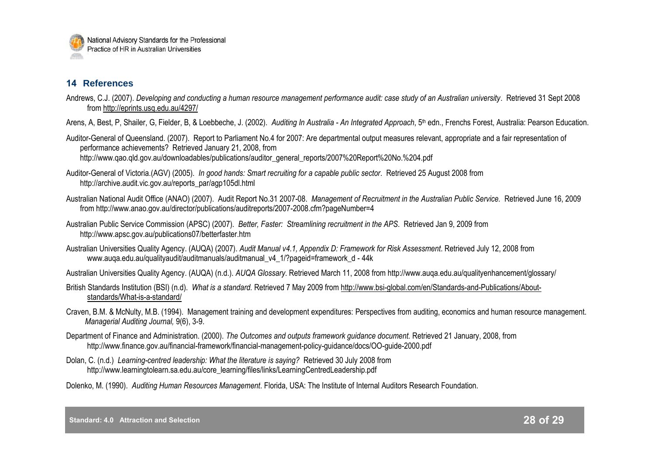

## **14 References**

- Andrews, C.J. (2007). *Developing and conducting a human resource management performance audit: case study of an Australian university*. Retrieved 31 Sept 2008 from <http://eprints.usq.edu.au/4297/>
- Arens, A, Best, P, Shailer, G, Fielder, B, & Loebbeche, J. (2002). *Auditing In Australia - An Integrated Approach*, 5th edn., Frenchs Forest, Australia: Pearson Education.

Auditor-General of Queensland. (2007). Report to Parliament No.4 for 2007: Are departmental output measures relevant, appropriate and a fair representation of performance achievements? Retrieved January 21, 2008, from http://www.qao.qld.gov.au/downloadables/publications/auditor\_general\_reports/2007%20Report%20No.%204.pdf

- Auditor-General of Victoria.(AGV) (2005). *In good hands: Smart recruiting for a capable public sector*. Retrieved 25 August 2008 from http://archive.audit.vic.gov.au/reports\_par/agp105dl.html
- Australian National Audit Office (ANAO) (2007). Audit Report No.31 2007-08. *Management of Recruitment in the Australian Public Service.* Retrieved June 16, 2009 from http://www.anao.gov.au/director/publications/auditreports/2007-2008.cfm?pageNumber=4
- Australian Public Service Commission (APSC) (2007). *Better, Faster: Streamlining recruitment in the APS*. Retrieved Jan 9, 2009 from http://www.apsc.gov.au/publications07/betterfaster.htm
- Australian Universities Quality Agency. (AUQA) (2007). *Audit Manual v4.1, Appendix D: Framework for Risk Assessment*. Retrieved July 12, 2008 from www.auga.edu.au/qualityaudit/auditmanuals/auditmanual\_v4\_1/?pageid=framework\_d - 44k

Australian Universities Quality Agency. (AUQA) (n.d.). *AUQA Glossary*. Retrieved March 11, 2008 from http://www.auqa.edu.au/qualityenhancement/glossary/

- British Standards Institution (BSI) (n.d). *What is a standard.* Retrieved 7 May 2009 from http://www.bsi-global.com/en/Standards-and-Publications/Aboutstandards/What-is-a-standard/
- Craven, B.M. & McNulty, M.B. (1994). Management training and development expenditures: Perspectives from auditing, economics and human resource management. *Managerial Auditing Journal,* 9(6), 3-9.
- Department of Finance and Administration. (2000). *The Outcomes and outputs framework guidance document.* Retrieved 21 January, 2008, from http://www.finance.gov.au/financial-framework/financial-management-policy-guidance/docs/OO-guide-2000.pdf
- Dolan, C. (n.d.) *Learning-centred leadership: What the literature is saying?* Retrieved 30 July 2008 from http://www.learningtolearn.sa.edu.au/core\_learning/files/links/LearningCentredLeadership.pdf
- Dolenko, M. (1990). *Auditing Human Resources Management*. Florida, USA: The Institute of Internal Auditors Research Foundation.